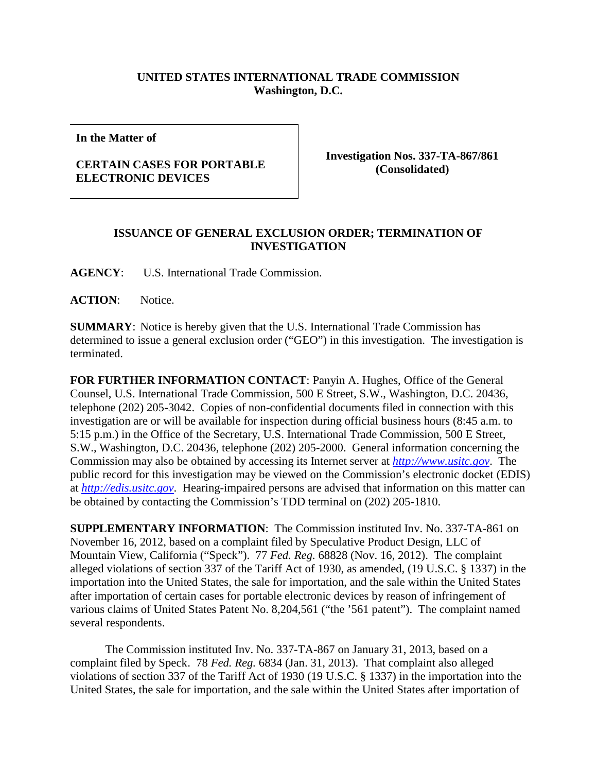## **UNITED STATES INTERNATIONAL TRADE COMMISSION Washington, D.C.**

**In the Matter of**

## **CERTAIN CASES FOR PORTABLE ELECTRONIC DEVICES**

**Investigation Nos. 337-TA-867/861 (Consolidated)**

## **ISSUANCE OF GENERAL EXCLUSION ORDER; TERMINATION OF INVESTIGATION**

**AGENCY**: U.S. International Trade Commission.

ACTION: Notice.

**SUMMARY**: Notice is hereby given that the U.S. International Trade Commission has determined to issue a general exclusion order ("GEO") in this investigation. The investigation is terminated.

**FOR FURTHER INFORMATION CONTACT**: Panyin A. Hughes, Office of the General Counsel, U.S. International Trade Commission, 500 E Street, S.W., Washington, D.C. 20436, telephone (202) 205-3042. Copies of non-confidential documents filed in connection with this investigation are or will be available for inspection during official business hours (8:45 a.m. to 5:15 p.m.) in the Office of the Secretary, U.S. International Trade Commission, 500 E Street, S.W., Washington, D.C. 20436, telephone (202) 205-2000. General information concerning the Commission may also be obtained by accessing its Internet server at *[http://www.usitc.gov](http://www.usitc.gov/)*. The public record for this investigation may be viewed on the Commission's electronic docket (EDIS) at *[http://edis.usitc.gov](http://edis.usitc.gov/)*. Hearing-impaired persons are advised that information on this matter can be obtained by contacting the Commission's TDD terminal on (202) 205-1810.

**SUPPLEMENTARY INFORMATION**: The Commission instituted Inv. No. 337-TA-861 on November 16, 2012, based on a complaint filed by Speculative Product Design, LLC of Mountain View, California ("Speck"). 77 *Fed. Reg.* 68828 (Nov. 16, 2012). The complaint alleged violations of section 337 of the Tariff Act of 1930, as amended, (19 U.S.C. § 1337) in the importation into the United States, the sale for importation, and the sale within the United States after importation of certain cases for portable electronic devices by reason of infringement of various claims of United States Patent No. 8,204,561 ("the '561 patent"). The complaint named several respondents.

The Commission instituted Inv. No. 337-TA-867 on January 31, 2013, based on a complaint filed by Speck. 78 *Fed. Reg.* 6834 (Jan. 31, 2013). That complaint also alleged violations of section 337 of the Tariff Act of 1930 (19 U.S.C. § 1337) in the importation into the United States, the sale for importation, and the sale within the United States after importation of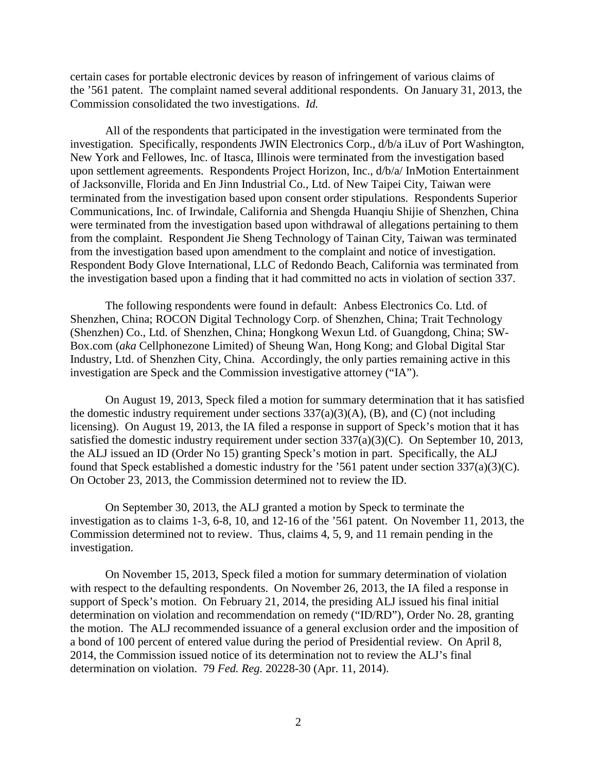certain cases for portable electronic devices by reason of infringement of various claims of the '561 patent. The complaint named several additional respondents. On January 31, 2013, the Commission consolidated the two investigations. *Id.*

All of the respondents that participated in the investigation were terminated from the investigation. Specifically, respondents JWIN Electronics Corp., d/b/a iLuv of Port Washington, New York and Fellowes, Inc. of Itasca, Illinois were terminated from the investigation based upon settlement agreements. Respondents Project Horizon, Inc., d/b/a/ InMotion Entertainment of Jacksonville, Florida and En Jinn Industrial Co., Ltd. of New Taipei City, Taiwan were terminated from the investigation based upon consent order stipulations. Respondents Superior Communications, Inc. of Irwindale, California and Shengda Huanqiu Shijie of Shenzhen, China were terminated from the investigation based upon withdrawal of allegations pertaining to them from the complaint. Respondent Jie Sheng Technology of Tainan City, Taiwan was terminated from the investigation based upon amendment to the complaint and notice of investigation. Respondent Body Glove International, LLC of Redondo Beach, California was terminated from the investigation based upon a finding that it had committed no acts in violation of section 337.

The following respondents were found in default: Anbess Electronics Co. Ltd. of Shenzhen, China; ROCON Digital Technology Corp. of Shenzhen, China; Trait Technology (Shenzhen) Co., Ltd. of Shenzhen, China; Hongkong Wexun Ltd. of Guangdong, China; SW-Box.com (*aka* Cellphonezone Limited) of Sheung Wan, Hong Kong; and Global Digital Star Industry, Ltd. of Shenzhen City, China. Accordingly, the only parties remaining active in this investigation are Speck and the Commission investigative attorney ("IA").

On August 19, 2013, Speck filed a motion for summary determination that it has satisfied the domestic industry requirement under sections  $337(a)(3)(A)$ , (B), and (C) (not including licensing). On August 19, 2013, the IA filed a response in support of Speck's motion that it has satisfied the domestic industry requirement under section 337(a)(3)(C). On September 10, 2013, the ALJ issued an ID (Order No 15) granting Speck's motion in part. Specifically, the ALJ found that Speck established a domestic industry for the '561 patent under section 337(a)(3)(C). On October 23, 2013, the Commission determined not to review the ID.

On September 30, 2013, the ALJ granted a motion by Speck to terminate the investigation as to claims 1-3, 6-8, 10, and 12-16 of the '561 patent. On November 11, 2013, the Commission determined not to review. Thus, claims 4, 5, 9, and 11 remain pending in the investigation.

On November 15, 2013, Speck filed a motion for summary determination of violation with respect to the defaulting respondents. On November 26, 2013, the IA filed a response in support of Speck's motion. On February 21, 2014, the presiding ALJ issued his final initial determination on violation and recommendation on remedy ("ID/RD"), Order No. 28, granting the motion. The ALJ recommended issuance of a general exclusion order and the imposition of a bond of 100 percent of entered value during the period of Presidential review. On April 8, 2014, the Commission issued notice of its determination not to review the ALJ's final determination on violation. 79 *Fed. Reg.* 20228-30 (Apr. 11, 2014).